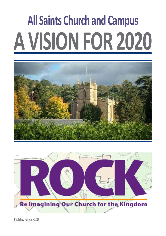# **A VISION FOR 2020 All Saints Church and Campus**





Published February 2016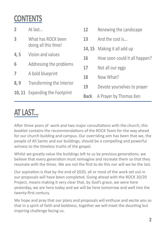#### **CONTENTS**

| $\overline{2}$ | At last                                    | 12          | Renewing the Landscape        |
|----------------|--------------------------------------------|-------------|-------------------------------|
| $\overline{3}$ | What has ROCK been<br>doing all this time! | 13          | And the cost is               |
|                |                                            |             | 14, 15 Making it all add up   |
| 4,5            | Vision and values                          | 16          | How soon could it all happen? |
| 6              | Addressing the problems                    | 17          | Not all our eggs              |
| $\overline{7}$ | A bold blueprint                           | 18          | Now What?                     |
| 8,9            | Transforming the Interior                  | 19          | Devote yourselves to prayer   |
|                | <b>10, 11</b> Expanding the Footprint      | <b>Back</b> | A Prayer by Thomas Ken        |
|                |                                            |             |                               |

#### **AT LAST...**

After three years of work and two major consultations with the church, this booklet contains the recommendations of the ROCK Team for the way ahead for our church building and campus. Our overriding aim has been that we, the people of All Saints and our buildings, should be a compelling and powerful witness to the timeless truths of the gospel.

Whilst we greatly value the buildings left to us by previous generations, we believe that every generation must reimagine and recreate them so that they resonate with the times. We are not the first to do this nor will we be the last.

Our aspiration is that by the end of 2020, all or most of the work set out in our proposals will have been completed. Going ahead with the ROCK 20/20 Project, means making it very clear that, by God's grace, we were here yesterday, we are here today and we will be here tomorrow and well into the twenty-first century.

We hope and pray that our plans and proposals will enthuse and excite you so that in a spirit of faith and boldness, together we will meet the daunting but inspiring challenge facing us.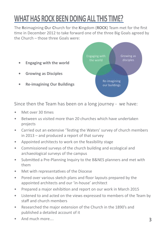#### **WHAT HAS ROCK BEEN DOING ALL THIS TIME?**

The **R**eimagining **O**ur **C**hurch for the **K**ingdom (**ROCK**) Team met for the first time in December 2012 to take forward one of the three Big Goals agreed by the Church – those three Goals were:

Growing as disciples **• Engaging with the world • Growing as Disciples** Re-imagining **• Re-imagining Our Buildings** our buildings

Since then the Team has been on a long journey - we have:

- Met over 30 times
- Between us visited more than 20 churches which have undertaken projects
- Carried out an extensive 'Testing the Waters' survey of church members in 2013 – and produced a report of that survey
- Appointed architects to work on the feasibility stage
- Commissioned surveys of the church building and ecological and archaeological surveys of the campus
- Submitted a Pre-Planning Inquiry to the B&NES planners and met with them
- Met with representatives of the Diocese
- Pored over various sketch plans and floor layouts prepared by the appointed architects and our 'in-house' architect
- Prepared a major exhibition and report on our work in March 2015
- Listened to and acted on the views expressed to members of the Team by staff and church members
- Researched the major extension of the Church in the 1890's and published a detailed account of it
- And much more….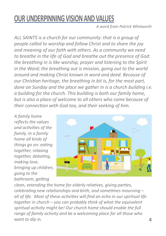#### **OUR UNDERPINNING VISION AND VALUES**

*A word from Patrick Whitworth*

*ALL SAINTS is a church for our community: that is a group of people called to worship and follow Christ and to share the joy and meaning of our faith with others. As a community we need to breathe in the life of God and breathe out the presence of God: the breathing in is like worship, prayer and listening to the Spirit in the Word; the breathing out is mission, going out to the world around and making Christ known in word and deed. Because of our Christian heritage, the breathing in bit is, for the most part, done on Sunday and the place we gather in is a church building i.e. a building for the church. This building is both our family home, but is also a place of welcome to all others who come because of their connection with God too, and their seeking of him.*

*A family home reflects the values and activities of the family. In a family home all kinds of things go on: eating together, relaxing together, debating, making love, bringing up children, going to the bathroom, getting*



*clean, extending the home for elderly relatives, giving parties, celebrating new relationships and birth, and sometimes mourning – all of life. Most of these activities will find an echo in our spiritual life together in church – you can probably think of what the equivalent spiritual activity might be! Our church home should enable the full range of family activity and be a welcoming place for all those who want to dip in.*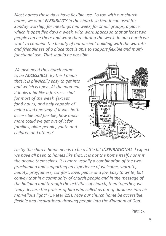*Most homes these days have flexible use. So too with our church home, we want FLEXIBILITY in the church so that it can used for Sunday worship, for meetings mid week, for small groups, a place which is open five days a week, with work spaces so that at least two people can be there and work there during the week. In our church we want to combine the beauty of our ancient building with the warmth and friendliness of a place that is able to support flexible and multifunctional use. That should be possible.*

*We also need the church home to be ACCESSIBLE. By this I mean that it is physically easy to get into and which is open. At the moment it looks a bit like a fortress: shut for most of the week (except for 8 hours) and only capable of being used one way. If it was both accessible and flexible, how much more could we get out of it for families, older people, youth and children and others?*



*Lastly the church home needs to be a little bit INSPIRATIONAL. I expect we have all been to homes like that. It is not the home itself, nor is it the people themselves. It is more usually a combination of the two: proclaiming and supporting an experience of welcome, warmth, beauty, prayfulness, comfort, love, peace and joy. Easy to write, but convey that in a community of church people and in the message of the building and through the activities of church, then together, we "may declare the praises of him who called us out of darkness into his marvellous light"* (1 Peter 2:9)*. May our church home be accessible, flexible and inspirational drawing people into the Kingdom of God.*

Patrick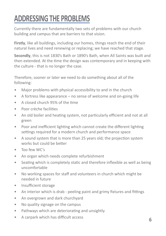#### **ADDRESSING THE PROBLEMS**

Currently there are fundamentally two sets of problems with our church building and campus that are barriers to that vision.

**Firstly**, like all buildings, including our homes, things reach the end of their natural lives and need renewing or replacing; we have reached that stage.

**Secondly**, this is not 1830's Bath or 1890's Bath, when All Saints was built and then extended. At the time the design was contemporary and in keeping with the culture - that is no longer the case.

Therefore, sooner or later we need to do something about all of the following:

- Major problems with physical accessibility to and in the church
- A fortress like appearance no sense of welcome and on-going life
- A closed church 95% of the time
- Poor crèche facilities
- An old boiler and heating system, not particularly efficient and not at all green
- Poor and inefficient lighting which cannot create the different lighting settings required for a modern church and performance space
- A sound system that is more than 25 years old; the projection system works but could be better
- Too few WC's
- An organ which needs complete refurbishment
- Seating which is completely static and therefore inflexible as well as being uncomfortable
- No working spaces for staff and volunteers in church which might be needed in future
- Insufficient storage
- An interior which is drab peeling paint and grimy fixtures and fittings
- An overgrown and dark churchyard
- No quality signage on the campus
- Pathways which are deteriorating and unsightly
- A carpark which has difficult access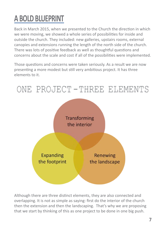## **A BOLD BLUEPRINT**

Back in March 2015, when we presented to the Church the direction in which we were moving, we showed a whole series of possibilities for inside and outside the church. They included: new galleries, upstairs rooms, external canopies and extensions running the length of the north side of the church. There was lots of positive feedback as well as thoughtful questions and concerns about the scale and cost if all of the possibilities were implemented.

Those questions and concerns were taken seriously. As a result we are now presenting a more modest but still very ambitious project. It has three elements to it.



Although there are three distinct elements, they are also connected and overlapping. It is not as simple as saying: first do the interior of the church then the extension and then the landscaping. That's why we are proposing that we start by thinking of this as one project to be done in one big push.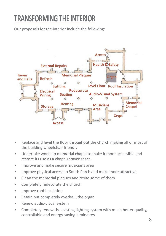#### **TRANSFORMING THE INTERIOR**

Our proposals for the interior include the following:



- Replace and level the floor throughout the church making all or most of the building wheelchair friendly
- Undertake works to memorial chapel to make it more accessible and restore its use as a chapel/prayer space
- Improve and make secure musicians area
- Improve physical access to South Porch and make more attractive
- Clean the memorial plaques and resite some of them
- Completely redecorate the church
- Improve roof insulation
- Retain but completely overhaul the organ
- Renew audio-visual system
- Completely renew the existing lighting system with much better quality, controllable and energy-saving luminaires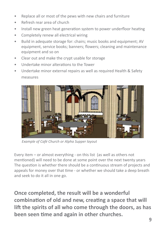- Replace all or most of the pews with new chairs and furniture
- Refresh rear area of church
- Install new green heat generation system to power underfloor heating
- Completely renew all electrical wiring
- Build in adequate storage for: chairs; music books and equipment; AV equipment, service books; banners; flowers; cleaning and maintenance equipment and so on
- Clear out and make the crypt usable for storage
- Undertake minor alterations to the Tower
- Undertake minor external repairs as well as required Health & Safety measures



*Example of Café Church or Alpha Supper layout*

Every item – or almost everything - on this list (as well as others not mentioned) will need to be done at some point over the next twenty years The question is whether there should be a continuous stream of projects and appeals for money over that time - or whether we should take a deep breath and seek to do it all in one go.

**Once completed, the result will be a wonderful combination of old and new, creating a space that will lift the spirits of all who come through the doors, as has been seen time and again in other churches.**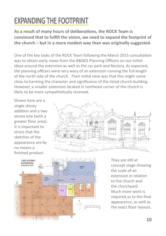#### **EXPANDING THE FOOTPRINT**

**As a result of many hours of deliberations, the ROCK Team is convinced that to fulfill the vision, we need to expand the footprint of the church – but in a more modest way than was originally suggested.**

One of the key tasks of the ROCK Team following the March 2015 consultation was to obtain early views from the B&NES Planning Officers on our initial ideas around the extension as well as the car park and Rectory. As expected, the planning officers were very wary of an extension running the full length of the north side of the church. Their initial view was that this might come close to harming the character and significance of the listed church building. However, a smaller extension located in northeast corner of the church is likely to be more sympathetically received.

Shown here are a single storey addition and a two storey one (with a greater floor area). It is important to stress that the sketches of the appearance are by no means a finished product.





They are still at concept stage showing the scale of an extension in relation to the church and the churchyard. Much more work is required as to the final appearance, as well as the exact floor layouts.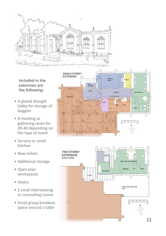

**Included in the extension are the following:**

- A glazed draught lobby for storage of buggies
- A meeting or gathering room for 20-40 depending on the type of event
- Servery or small kitchen
- New toilets
- Additional storage
- Open plan workspaces
- Vestry
- 2 small interviewing or counseling rooms
- Small group breakout space around a table



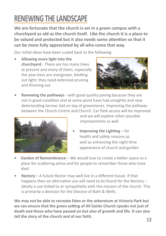#### **RENEWING THE LANDSCAPE**

**We are fortunate that the church is set in a green campus with a churchyard as old as the church itself. Like the church it is a place to be valued and protected but it also needs some attention so that it can be more fully appreciated by all who come that way.**

Our initial ideas have been scaled back to the following:

**• Allowing more light into the churchyard** - There are too many trees at present and many of them, especially the yew trees are overgrown, blotting out light; they need extensive pruning and thinning out



**Renewing the pathways** - with good quality paving because they are not in good condition and at some point have had unsightly and now deteriorating tarmac laid on top of gravestones. Improving the pathway between the Church Centre and Church. Car Park access will be improved



 and we will explore other possible improvements as well

- **Improving the Lighting for** health and safety reasons as well as enhancing the night time appearance of church and garden
- **Garden of Remembrance** We would love to create a better space as a place for scattering ashes and for people to remember those who have died
- **Rectory** A future Rector may well live in a different house. If that happens then an alternative use will need to be found for the Rectory – ideally a use linked to or sympathetic with the mission of the church. This is primarily a decision for the Diocese of Bath & Wells.

**We may not be able to recreate Eden or the arboretum at Victoria Park but we can ensure that the green setting of All Saints Church speaks not just of death and those who have passed on but also of growth and life. It can also tell the story of the church and of our faith.**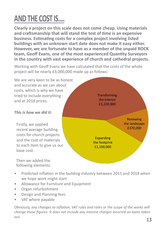#### **AND THE COST IS....**

**Clearly a project on this scale does not come cheap. Using materials and craftsmanship that will stand the test of time is an expensive business. Estimating costs for a complex project involving listed buildings with an unknown start date does not make it easy either. However, we are fortunate to have as a member of the unpaid ROCK team, Geoff Evans, one of the most experienced Quantity Surveyors in the country with vast experience of church and cathedral projects.**

Working with Geoff Evans we have calculated that the costs of the whole project will be nearly £3,000,000 made up as follows:

We are very keen to be as honest and accurate as we can about costs, which is why we have tried to include everything and at 2018 prices.

#### *This is how we did it:*

Firstly, we applied recent average building costs for church projects and the cost of materials to each item to give us our base cost.

Then we added the following elements:



- Predicted inflation in the building industry between 2015 and 2018 when we hope work might start
- Allowance for Furniture and Equipment
- Organ refurbishment
- Design and Planning fees
- VAT where payable

*Obviously, any changes to inflation, VAT rules and rates or the scope of the works will change those figures. It does not include any interest charges incurred on loans taken out.*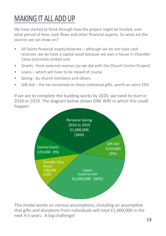#### **MAKING IT ALL ADD UP**

We have started to think through how the project might be funded, over what period of time, cash flows and other financial aspects. So what are the sources we can draw on?

- All Saints financial assets/reserves although we do not have cash reserves, we do have a capital asset because we own a house in Chandler Close (currently rented out)
- Grants from external sources (as we did with the Church Centre Project)
- Loans which will have to be repaid of course
- Giving by church members and others
- Gift Aid the tax reclaimed on those individual gifts, worth an extra 25%

If we are to complete the building works by 2020, we need to start in 2018 or 2019. The diagram below shows ONE WAY in which this could happen



This model works on various assumptions, including an assumption that gifts and donations from individuals will total £1,000,000 in the next 4-5 years. A big challenge!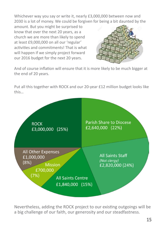Whichever way you say or write it, nearly £3,000,000 between now and 2030 is a lot of money. We could be forgiven for being a bit daunted by the

amount. But you might be surprised to know that over the next 20 years, as a church we are more than likely to spend at least £9,000,000 on all our 'regular' activities and commitments! That is what will happen if we simply project forward our 2016 budget for the next 20 years.



And of course inflation will ensure that it is more likely to be much bigger at the end of 20 years.

Put all this together with ROCK and our 20-year £12 million budget looks like this…



Nevertheless, adding the ROCK project to our existing outgoings will be a big challenge of our faith, our generosity and our steadfastness.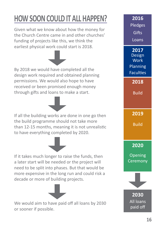## **HOW SOON COULD IT ALL HAPPEN?** 2016

Given what we know about how the money for the Church Centre came in and other churches' funding of projects like this, we think the earliest physical work could start is 2018.

By 2018 we would have completed all the design work required and obtained planning permissions. We would also hope to have received or been promised enough money through gifts and loans to make a start.

If all the building works are done in one go then the build programme should not take more than 12-15 months, meaning it is not unrealistic to have everything completed by 2020.

If it takes much longer to raise the funds, then a later start will be needed or the project will need to be split into phases. But that would be more expensive in the long run and could risk a decade or more of building projects.



We would aim to have paid off all loans by 2030 or sooner if possible.

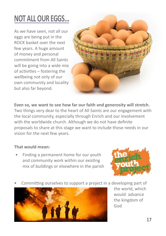## **NOT ALL OUR EGGS...**

As we have seen, not all our eggs are being put in the ROCK basket over the next few years. A huge amount of money and personal commitment from All Saints will be going into a wide mix of activities – fostering the wellbeing not only of our own community and locality but also far beyond.



**Even so, we want to see how far our faith and generosity will stretch.**  Two things very dear to the heart of All Saints are our engagement with the local community, especially through Enrich and our involvement with the worldwide church. Although we do not have definite proposals to share at this stage we want to include those needs in our vision for the next few years.

#### **That would mean:**

• Finding a permanent home for our youth and community work within our existing mix of buildings or elsewhere in the parish



• Committing ourselves to support a project in a developing part of



the world, which would advance the kingdom of God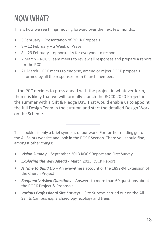#### **NOW WHAT?**

This is how we see things moving forward over the next few months:

- 3 February Presentation of ROCK Proposals
- 8 12 February a Week of Prayer
- 8 29 February opportunity for everyone to respond
- 2 March ROCK Team meets to review all responses and prepare a report for the PCC
- 21 March PCC meets to endorse, amend or reject ROCK proposals informed by all the responses from Church members

If the PCC decides to press ahead with the project in whatever form, then it is likely that we will formally launch the ROCK 2020 Project in the summer with a Gift & Pledge Day. That would enable us to appoint the full Design Team in the autumn and start the detailed Design Work on the Scheme.

This booklet is only a brief synopsis of our work. For further reading go to the All Saints website and look in the ROCK Section. There you should find, amongst other things:

- *• Vision Sunday* September 2013 ROCK Report and First Survey
- *• Exploring the Way Ahead* March 2015 ROCK Report
- **A Time to Build Up** An eyewitness account of the 1892-94 Extension of the Church Project
- *• Frequently Asked Questions* Answers to more than 60 questions about the ROCK Project & Proposals
- *• Various Professional Site Surveys* Site Surveys carried out on the All Saints Campus e.g. archaeology, ecology and trees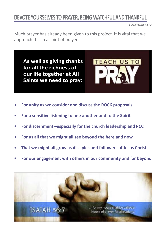#### **DEVOTE YOURSELVES TO PRAYER, BEING WATCHFUL AND THANKFUL**

*Colossians 4:2*

Much prayer has already been given to this project. It is vital that we approach this in a spirit of prayer.

**As well as giving thanks for all the richness of our life together at All Saints we need to pray:**



- For unity as we consider and discuss the ROCK proposals
- **• For a sensitive listening to one another and to the Spirit**
- For discernment –especially for the church leadership and PCC
- For us all that we might all see beyond the here and now
- **That we might all grow as disciples and followers of Jesus Christ**
- For our engagement with others in our community and far beyond